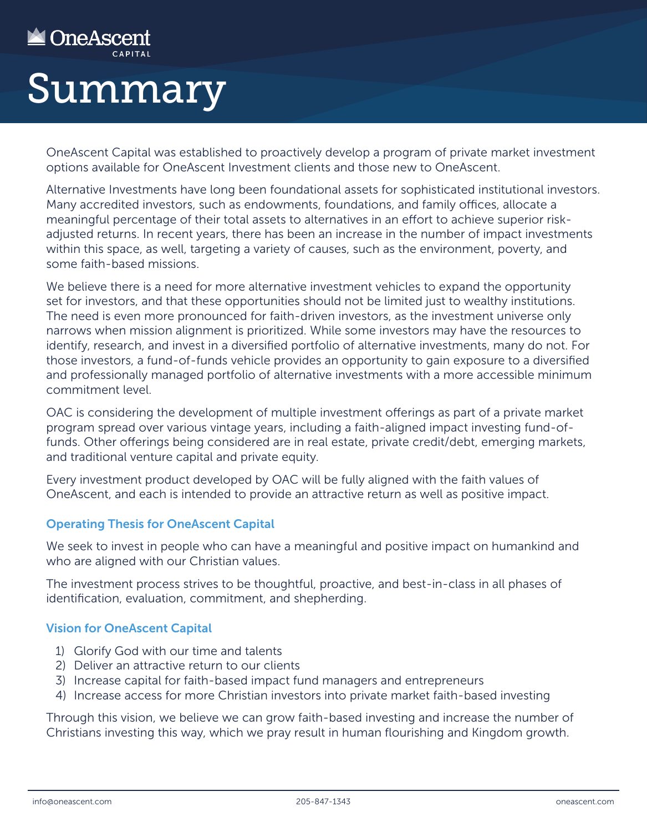## **NADIRES** CAPITAL SUMMAry

OneAscent Capital was established to proactively develop a program of private market investment options available for OneAscent Investment clients and those new to OneAscent.

Alternative Investments have long been foundational assets for sophisticated institutional investors. Many accredited investors, such as endowments, foundations, and family offices, allocate a meaningful percentage of their total assets to alternatives in an effort to achieve superior riskadjusted returns. In recent years, there has been an increase in the number of impact investments within this space, as well, targeting a variety of causes, such as the environment, poverty, and some faith-based missions.

We believe there is a need for more alternative investment vehicles to expand the opportunity set for investors, and that these opportunities should not be limited just to wealthy institutions. The need is even more pronounced for faith-driven investors, as the investment universe only narrows when mission alignment is prioritized. While some investors may have the resources to identify, research, and invest in a diversified portfolio of alternative investments, many do not. For those investors, a fund-of-funds vehicle provides an opportunity to gain exposure to a diversified and professionally managed portfolio of alternative investments with a more accessible minimum commitment level.

OAC is considering the development of multiple investment offerings as part of a private market program spread over various vintage years, including a faith-aligned impact investing fund-offunds. Other offerings being considered are in real estate, private credit/debt, emerging markets, and traditional venture capital and private equity.

Every investment product developed by OAC will be fully aligned with the faith values of OneAscent, and each is intended to provide an attractive return as well as positive impact.

## Operating Thesis for OneAscent Capital

We seek to invest in people who can have a meaningful and positive impact on humankind and who are aligned with our Christian values.

The investment process strives to be thoughtful, proactive, and best-in-class in all phases of identification, evaluation, commitment, and shepherding.

## Vision for OneAscent Capital

- 1) Glorify God with our time and talents
- 2) Deliver an attractive return to our clients
- 3) Increase capital for faith-based impact fund managers and entrepreneurs
- 4) Increase access for more Christian investors into private market faith-based investing

Through this vision, we believe we can grow faith-based investing and increase the number of Christians investing this way, which we pray result in human flourishing and Kingdom growth.